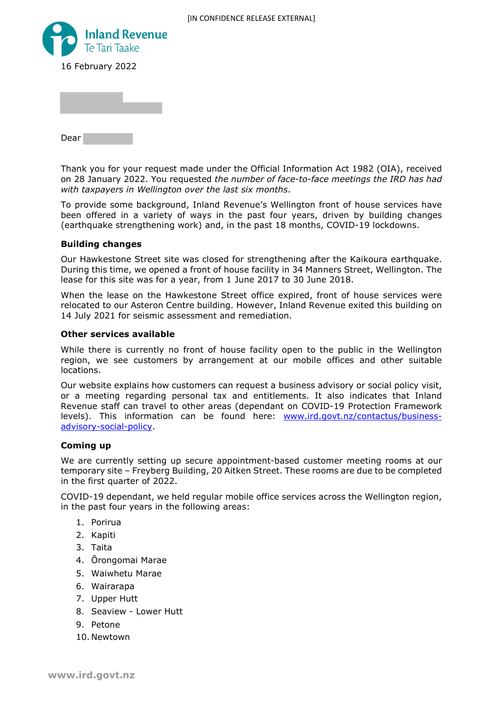

Dear

Thank you for your request made under the Official Information Act 1982 (OIA), received on 28 January 2022. You requested *the number of face-to-face meetings the IRD has had with taxpayers in Wellington over the last six months*.

To provide some background, Inland Revenue's Wellington front of house services have been offered in a variety of ways in the past four years, driven by building changes (earthquake strengthening work) and, in the past 18 months, COVID-19 lockdowns.

## **Building changes**

Our Hawkestone Street site was closed for strengthening after the Kaikoura earthquake. During this time, we opened a front of house facility in 34 Manners Street, Wellington. The lease for this site was for a year, from 1 June 2017 to 30 June 2018.

When the lease on the Hawkestone Street office expired, front of house services were relocated to our Asteron Centre building. However, Inland Revenue exited this building on 14 July 2021 for seismic assessment and remediation.

## **Other services available**

While there is currently no front of house facility open to the public in the Wellington region, we see customers by arrangement at our mobile offices and other suitable locations.

Our website explains how customers can request a business advisory or social policy visit, or a meeting regarding personal tax and entitlements. It also indicates that Inland Revenue staff can travel to other areas (dependant on COVID-19 Protection Framework levels). This information can be found here: www.ird.govt.nz/contactus/businessadvisory-social-policy.

## **Coming up**

We are currently setting up secure appointment-based customer meeting rooms at our temporary site – Freyberg Building, 20 Aitken Street. These rooms are due to be completed in the first quarter of 2022.

COVID-19 dependant, we held regular mobile office services across the Wellington region, in the past four years in the following areas:

- 1. Porirua
- 2. Kapiti
- 3. Taita
- 4. Ōrongomai Marae
- 5. Waiwhetu Marae
- 6. Wairarapa
- 7. Upper Hutt
- 8. Seaview Lower Hutt
- 9. Petone
- 10. Newtown